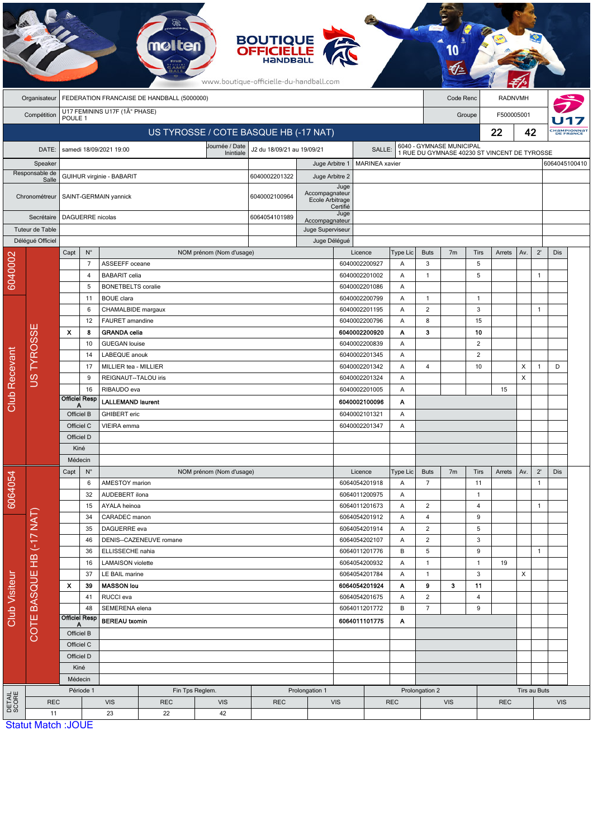|                      |                           |                    |                            |                                                |                                            |                                       | <b>BOUTIQUE<br/>OFFICIELLE</b><br>www.boutique-officielle-du-handball.com |                                   |                  |                                |            |                               |                |                                                                          |            |              |              |            |                                 |
|----------------------|---------------------------|--------------------|----------------------------|------------------------------------------------|--------------------------------------------|---------------------------------------|---------------------------------------------------------------------------|-----------------------------------|------------------|--------------------------------|------------|-------------------------------|----------------|--------------------------------------------------------------------------|------------|--------------|--------------|------------|---------------------------------|
|                      | Organisateur              |                    |                            |                                                | FEDERATION FRANCAISE DE HANDBALL (5000000) |                                       |                                                                           |                                   |                  |                                |            |                               | Code Renc      |                                                                          | RADNVMH    |              |              |            |                                 |
|                      | Compétition               | POULE 1            |                            | U17 FEMININS U17F (1° PHASE)                   |                                            |                                       |                                                                           |                                   |                  |                                |            |                               |                | Groupe                                                                   | F500005001 |              |              |            |                                 |
|                      |                           |                    |                            |                                                |                                            | US TYROSSE / COTE BASQUE HB (-17 NAT) |                                                                           |                                   |                  |                                |            |                               |                |                                                                          | 22         | 42           |              |            | <b>CHAMPIONNAT</b><br>DE FRANCE |
|                      | DATE:                     |                    |                            | samedi 18/09/2021 19:00                        |                                            | Journée / Date                        | J2 du 18/09/21 au 19/09/21                                                |                                   |                  | SALLE:                         |            |                               |                | 6040 - GYMNASE MUNICIPAL<br>1 RUE DU GYMNASE 40230 ST VINCENT DE TYROSSE |            |              |              |            |                                 |
|                      | Speaker                   |                    |                            |                                                |                                            | Inintiale                             |                                                                           | Juge Arbitre 1                    |                  | <b>MARINEA</b> xavier          |            |                               |                |                                                                          |            |              |              |            | 6064045100410                   |
|                      | Responsable de            |                    |                            | GUIHUR virginie - BABARIT                      |                                            |                                       | 6040002201322                                                             | Juge Arbitre 2                    |                  |                                |            |                               |                |                                                                          |            |              |              |            |                                 |
|                      | Salle<br>Chronométreur    |                    |                            | SAINT-GERMAIN yannick                          |                                            |                                       | 6040002100964                                                             | Accompagnateur<br>Ecole Arbitrage | Juge<br>Certifié |                                |            |                               |                |                                                                          |            |              |              |            |                                 |
|                      | Secrétaire                |                    | <b>DAGUERRE</b> nicolas    |                                                |                                            |                                       | 6064054101989                                                             | Accompagnateur                    | Juge             |                                |            |                               |                |                                                                          |            |              |              |            |                                 |
|                      | Tuteur de Table           |                    |                            |                                                |                                            |                                       |                                                                           | Juge Superviseur                  |                  |                                |            |                               |                |                                                                          |            |              |              |            |                                 |
|                      | Délégué Officiel          |                    |                            |                                                |                                            |                                       |                                                                           | Juge Délégué                      |                  |                                |            |                               |                |                                                                          |            |              |              |            |                                 |
|                      |                           | Capt               | $\mathsf{N}^\circ$         |                                                |                                            | NOM prénom (Nom d'usage)              |                                                                           |                                   |                  | Licence                        | Type Lic   | <b>Buts</b>                   | 7 <sub>m</sub> | <b>Tirs</b>                                                              | Arrets     | Av.          | $2^{\prime}$ | Dis        |                                 |
| 6040002              |                           |                    | $\overline{7}$             | ASSEEFF oceane                                 |                                            |                                       |                                                                           |                                   |                  | 6040002200927                  | Α          | 3                             |                | 5                                                                        |            |              |              |            |                                 |
|                      |                           |                    | $\overline{4}$             | <b>BABARIT</b> celia                           |                                            |                                       |                                                                           |                                   |                  | 6040002201002                  | Α          | $\mathbf{1}$                  |                | 5                                                                        |            |              | $\mathbf{1}$ |            |                                 |
|                      |                           |                    | 5<br>11                    | <b>BONETBELTS</b> coralie<br><b>BOUE</b> clara |                                            |                                       |                                                                           |                                   |                  | 6040002201086<br>6040002200799 | Α<br>Α     | $\mathbf{1}$                  |                | $\overline{1}$                                                           |            |              |              |            |                                 |
|                      |                           |                    | 6                          | CHAMALBIDE margaux                             |                                            |                                       |                                                                           |                                   |                  | 6040002201195                  | Α          | $\overline{2}$                |                | 3                                                                        |            |              | $\mathbf{1}$ |            |                                 |
|                      |                           |                    | 12                         | FAURET amandine                                |                                            |                                       |                                                                           |                                   |                  | 6040002200796                  | Α          | 8                             |                | 15                                                                       |            |              |              |            |                                 |
|                      | ш                         | $\pmb{\mathsf{x}}$ | 8                          | <b>GRANDA</b> celia                            |                                            |                                       |                                                                           |                                   |                  | 6040002200920                  | Α          | 3                             |                | 10                                                                       |            |              |              |            |                                 |
|                      | US TYROSSI                |                    | 10                         | <b>GUEGAN</b> louise                           |                                            |                                       |                                                                           |                                   |                  | 6040002200839                  | Α          |                               |                | $\overline{2}$                                                           |            |              |              |            |                                 |
|                      |                           |                    | 14                         | LABEQUE anouk                                  |                                            |                                       |                                                                           |                                   |                  | 6040002201345                  | Α          |                               |                | $\overline{2}$                                                           |            |              |              |            |                                 |
|                      |                           |                    | 17                         | MILLIER tea - MILLIER                          |                                            |                                       |                                                                           |                                   |                  | 6040002201342                  | Α          | $\overline{4}$                |                | 10                                                                       |            | X            | $\mathbf{1}$ | D          |                                 |
|                      |                           |                    | 9                          | REIGNAUT--TALOU iris                           |                                            |                                       |                                                                           |                                   |                  | 6040002201324                  | Α          |                               |                |                                                                          |            | X            |              |            |                                 |
|                      |                           |                    | 16                         | RIBAUDO eva                                    |                                            |                                       |                                                                           |                                   |                  | 6040002201005                  | Α          |                               |                |                                                                          | 15         |              |              |            |                                 |
| <b>Club Recevant</b> |                           |                    | <b>Officiel Resp</b><br>А  | <b>LALLEMAND laurent</b>                       |                                            |                                       |                                                                           |                                   |                  | 6040002100096                  | Α          |                               |                |                                                                          |            |              |              |            |                                 |
|                      |                           |                    | Officiel B                 | <b>GHIBERT</b> eric                            |                                            |                                       |                                                                           |                                   |                  | 6040002101321                  | Α          |                               |                |                                                                          |            |              |              |            |                                 |
|                      |                           |                    | Officiel C                 | VIEIRA emma                                    |                                            |                                       |                                                                           |                                   |                  | 6040002201347                  | Α          |                               |                |                                                                          |            |              |              |            |                                 |
|                      |                           |                    | Officiel D                 |                                                |                                            |                                       |                                                                           |                                   |                  |                                |            |                               |                |                                                                          |            |              |              |            |                                 |
|                      |                           |                    | Kiné                       |                                                |                                            |                                       |                                                                           |                                   |                  |                                |            |                               |                |                                                                          |            |              |              |            |                                 |
|                      |                           |                    | Médecin                    |                                                |                                            |                                       |                                                                           |                                   |                  |                                |            |                               |                |                                                                          |            |              |              |            |                                 |
|                      |                           | Capt               | $N^{\circ}$                | AMESTOY marion                                 |                                            | NOM prénom (Nom d'usage)              |                                                                           |                                   |                  | Licence<br>6064054201918       | Type Lic   | <b>Buts</b><br>$\overline{7}$ | 7 <sub>m</sub> | Tirs<br>11                                                               | Arrets     | Av.          | $2^{\prime}$ | Dis        |                                 |
| 6064054              |                           |                    | 6<br>32                    | AUDEBERT ilona                                 |                                            |                                       |                                                                           |                                   |                  | 6064011200975                  | Α<br>Α     |                               |                | $\mathbf{1}$                                                             |            |              | $\mathbf{1}$ |            |                                 |
|                      |                           |                    | 15                         | AYALA heinoa                                   |                                            |                                       |                                                                           |                                   |                  | 6064011201673                  | Α          | $\overline{2}$                |                | $\overline{4}$                                                           |            |              | $\mathbf{1}$ |            |                                 |
|                      |                           |                    | 34                         | CARADEC manon                                  |                                            |                                       |                                                                           |                                   |                  | 6064054201912                  | Α          | 4                             |                | 9                                                                        |            |              |              |            |                                 |
|                      | COTE BASQUE HB (-17 NAT)  |                    | 35                         | DAGUERRE eva                                   |                                            |                                       |                                                                           |                                   |                  | 6064054201914                  | A          | $\overline{2}$                |                | 5                                                                        |            |              |              |            |                                 |
|                      |                           |                    | 46                         |                                                | DENIS--CAZENEUVE romane                    |                                       |                                                                           |                                   |                  | 6064054202107                  | Α          | $\overline{2}$                |                | 3                                                                        |            |              |              |            |                                 |
|                      |                           |                    | 36                         | ELLISSECHE nahia                               |                                            |                                       |                                                                           |                                   |                  | 6064011201776                  | В          | $\mathbf 5$                   |                | 9                                                                        |            |              | $\mathbf{1}$ |            |                                 |
|                      |                           |                    | 16                         | <b>LAMAISON</b> violette                       |                                            |                                       |                                                                           |                                   |                  | 6064054200932                  | Α          | $\mathbf{1}$                  |                | $\mathbf{1}$                                                             | 19         |              |              |            |                                 |
| <b>Club Visiteur</b> |                           |                    | 37                         | LE BAIL marine                                 |                                            |                                       |                                                                           |                                   |                  | 6064054201784                  | Α          | $\mathbf{1}$                  |                | $\mathbf{3}$                                                             |            | X            |              |            |                                 |
|                      |                           | X                  | 39                         | <b>MASSON lou</b>                              |                                            |                                       |                                                                           |                                   |                  | 6064054201924                  | Α          | 9                             | 3              | 11                                                                       |            |              |              |            |                                 |
|                      |                           |                    | 41                         | RUCCI eva                                      |                                            |                                       |                                                                           |                                   |                  | 6064054201675                  | Α          | $\overline{2}$                |                | 4                                                                        |            |              |              |            |                                 |
|                      |                           |                    | 48<br><b>Officiel Resp</b> | SEMERENA elena                                 |                                            |                                       |                                                                           |                                   |                  | 6064011201772                  | В          | $\overline{7}$                |                | 9                                                                        |            |              |              |            |                                 |
|                      |                           |                    | A                          | <b>BEREAU</b> txomin                           |                                            |                                       |                                                                           |                                   |                  | 6064011101775                  | A          |                               |                |                                                                          |            |              |              |            |                                 |
|                      |                           |                    | Officiel B                 |                                                |                                            |                                       |                                                                           |                                   |                  |                                |            |                               |                |                                                                          |            |              |              |            |                                 |
|                      |                           |                    | Officiel C<br>Officiel D   |                                                |                                            |                                       |                                                                           |                                   |                  |                                |            |                               |                |                                                                          |            |              |              |            |                                 |
|                      |                           |                    | Kiné                       |                                                |                                            |                                       |                                                                           |                                   |                  |                                |            |                               |                |                                                                          |            |              |              |            |                                 |
|                      |                           |                    | Médecin                    |                                                |                                            |                                       |                                                                           |                                   |                  |                                |            |                               |                |                                                                          |            |              |              |            |                                 |
|                      |                           |                    | Période 1                  |                                                | Fin Tps Reglem.<br>Prolongation 1          |                                       |                                                                           |                                   |                  |                                |            |                               | Prolongation 2 |                                                                          |            | Tirs au Buts |              |            |                                 |
| DETAIL<br>SCORE      | <b>REC</b>                |                    |                            | <b>VIS</b>                                     | <b>REC</b>                                 | <b>VIS</b>                            | <b>REC</b>                                                                |                                   | <b>VIS</b>       |                                | <b>REC</b> |                               | <b>VIS</b>     |                                                                          | <b>REC</b> |              |              | <b>VIS</b> |                                 |
|                      | 11                        |                    |                            | 23                                             | 22                                         | 42                                    |                                                                           |                                   |                  |                                |            |                               |                |                                                                          |            |              |              |            |                                 |
|                      | <b>Statut Match: JOUE</b> |                    |                            |                                                |                                            |                                       |                                                                           |                                   |                  |                                |            |                               |                |                                                                          |            |              |              |            |                                 |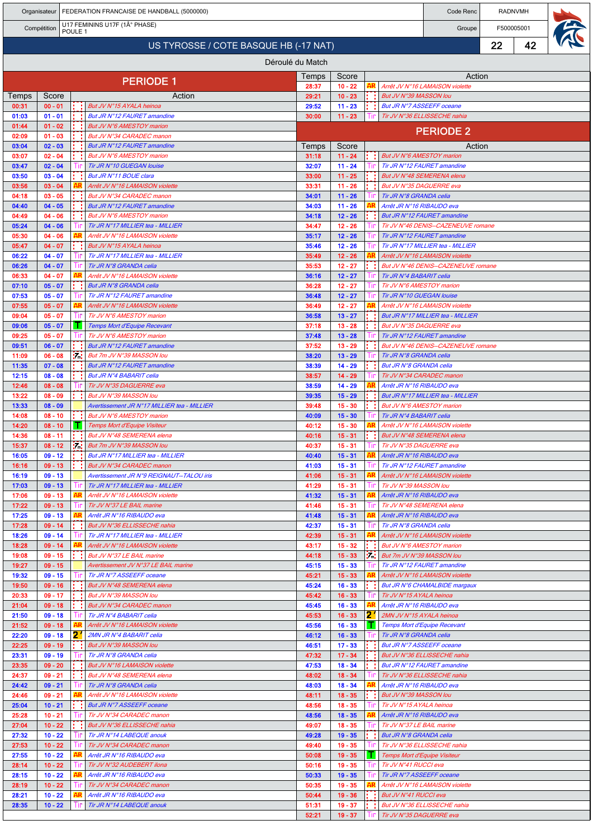|                  |                        |                    |        | Organisateur   FEDERATION FRANCAISE DE HANDBALL (5000000)                |                  |                        |               |                                                         | Code Renc                                                          |    | RADNVMH    |  |
|------------------|------------------------|--------------------|--------|--------------------------------------------------------------------------|------------------|------------------------|---------------|---------------------------------------------------------|--------------------------------------------------------------------|----|------------|--|
|                  | Compétition            | POULE <sub>1</sub> |        | U17 FEMININS U17F (1° PHASE)                                             |                  |                        |               |                                                         | Groupe                                                             |    | F500005001 |  |
|                  |                        |                    |        | US TYROSSE / COTE BASQUE HB (-17 NAT)                                    |                  |                        |               |                                                         |                                                                    | 22 | 42         |  |
|                  |                        |                    |        |                                                                          | Déroulé du Match |                        |               |                                                         |                                                                    |    |            |  |
|                  |                        |                    |        |                                                                          | Temps            | Score                  |               |                                                         | Action                                                             |    |            |  |
| <b>PERIODE 1</b> |                        |                    |        |                                                                          |                  | $10 - 22$              |               |                                                         | Arrêt JV N°16 LAMAISON violette                                    |    |            |  |
| Temps            | Score                  |                    |        | Action                                                                   | 29:21            | $10 - 23$              |               | But JV N°39 MASSON lou                                  |                                                                    |    |            |  |
| 00:31<br>01:03   | $00 - 01$<br>$01 - 01$ |                    |        | But JV N°15 AYALA heinoa<br>But JR N°12 FAURET amandine                  | 29:52<br>30:00   | $11 - 23$<br>$11 - 23$ |               | But JR N°7 ASSEEFF oceane                               | Tir JV N°36 ELLISSECHE nahia                                       |    |            |  |
| 01:44            | $01 - 02$              |                    |        | But JV N°6 AMESTOY marion                                                |                  |                        |               |                                                         | <b>PERIODE 2</b>                                                   |    |            |  |
| 02:09<br>03:04   | $01 - 03$<br>$02 - 03$ |                    |        | But JV N°34 CARADEC manon<br>But JR N°12 FAURET amandine                 |                  | Score                  |               |                                                         | Action                                                             |    |            |  |
| 03:07            | $02 - 04$              |                    |        | But JV N°6 AMESTOY marion                                                | Temps<br>31:18   | $11 - 24$              |               | But JV N°6 AMESTOY marion                               |                                                                    |    |            |  |
| 03:47            | $02 - 04$              |                    |        | Tir JR N°10 GUEGAN louise                                                | 32:07            | $11 - 24$              |               |                                                         | Tir JR N°12 FAURET amandine                                        |    |            |  |
| 03:50<br>03:56   | $03 - 04$<br>$03 - 04$ |                    |        | But JR N°11 BOUE clara<br>Arrêt JV N°16 LAMAISON violette                | 33:00<br>33:31   | $11 - 25$<br>$11 - 26$ |               | But JV N°35 DAGUERRE eva                                | But JV N°48 SEMERENA elena                                         |    |            |  |
| 04:18            | $03 - 05$              |                    |        | But JV N°34 CARADEC manon                                                | 34:01            | $11 - 26$              |               | Tir JR N°8 GRANDA celia                                 |                                                                    |    |            |  |
| 04:40            | $04 - 05$              |                    |        | But JR N°12 FAURET amandine                                              | 34:03            | $11 - 26$              |               | Arrêt JR N°16 RIBAUDO eva                               |                                                                    |    |            |  |
| 04:49            | $04 - 06$              |                    |        | But JV N°6 AMESTOY marion                                                | 34:18            | $12 - 26$              |               |                                                         | <b>But JR N°12 FAURET amandine</b>                                 |    |            |  |
| 05:24<br>05:30   | $04 - 06$<br>$04 - 06$ |                    |        | Tir JR N°17 MILLIER tea - MILLIER<br>Arrêt JV N°16 LAMAISON violette     | 34:47<br>35:17   | $12 - 26$<br>$12 - 26$ |               |                                                         | Tir JV N°46 DENIS--CAZENEUVE romane<br>Tir JR N°12 FAURET amandine |    |            |  |
| 05:47            | $04 - 07$              |                    |        | But JV N°15 AYALA heinoa                                                 | 35:46            | $12 - 26$              |               |                                                         | Tir JR N°17 MILLIER tea - MILLIER                                  |    |            |  |
| 06:22            | $04 - 07$              |                    |        | Tir JR N°17 MILLIER tea - MILLIER                                        | 35:49            | $12 - 26$              |               |                                                         | Arrêt JV N°16 LAMAISON violette                                    |    |            |  |
| 06:26<br>06:33   | $04 - 07$<br>$04 - 07$ |                    |        | Tir JR N°8 GRANDA celia<br>Arrêt JV N°16 LAMAISON violette               | 35:53<br>36:16   | $12 - 27$<br>$12 - 27$ |               | Tir JR N°4 BABARIT celia                                | But JV N°46 DENIS--CAZENEUVE romane                                |    |            |  |
| 07:10            | $05 - 07$              |                    |        | But JR N°8 GRANDA celia                                                  | 36:28            | $12 - 27$              |               | Tir JV N°6 AMESTOY marion                               |                                                                    |    |            |  |
| 07:53            | $05 - 07$              |                    |        | Tir JR N°12 FAURET amandine                                              | 36:48            | $12 - 27$              |               | Tir JR N°10 GUEGAN louise                               |                                                                    |    |            |  |
| 07:55            | $05 - 07$              |                    |        | Arrêt JV N°16 LAMAISON violette                                          | 36:49            | $12 - 27$              |               |                                                         | Arrêt JV N°16 LAMAISON violette                                    |    |            |  |
| 09:04<br>09:06   | $05 - 07$<br>$05 - 07$ |                    |        | Tir JV N°6 AMESTOY marion<br><b>Temps Mort d'Equipe Recevant</b>         | 36:58<br>37:18   | $13 - 27$<br>$13 - 28$ |               | But JV N°35 DAGUERRE eva                                | But JR N°17 MILLIER tea - MILLIER                                  |    |            |  |
| 09:25            | $05 - 07$              |                    |        | Tir JV N°6 AMESTOY marion                                                | 37:48            | $13 - 28$              |               |                                                         | Tir JR N°12 FAURET amandine                                        |    |            |  |
| 09:51            | $06 - 07$              |                    |        | <b>But JR N°12 FAURET amandine</b>                                       | 37:52            | $13 - 29$              |               |                                                         | But JV N°46 DENIS--CAZENEUVE romane                                |    |            |  |
| 11:09            | $06 - 08$              |                    | 57.    | But 7m JV N°39 MASSON lou                                                | 38:20            | $13 - 29$              |               | Tir JR N°8 GRANDA celia                                 |                                                                    |    |            |  |
| 11:35<br>12:15   | $07 - 08$<br>$08 - 08$ |                    |        | <b>But JR N°12 FAURET amandine</b><br>But JR N°4 BABARIT celia           | 38:39<br>38:57   | $14 - 29$<br>$14 - 29$ |               | But JR N°8 GRANDA celia<br>Tir JV N°34 CARADEC manon    |                                                                    |    |            |  |
| 12:46            | $08 - 08$              |                    |        | Tir JV N°35 DAGUERRE eva                                                 | 38:59            | $14 - 29$              |               | Arrêt JR N°16 RIBAUDO eva                               |                                                                    |    |            |  |
| 13:22            | $08 - 09$              |                    |        | But JV N°39 MASSON lou                                                   | 39:35            | $15 - 29$              |               |                                                         | But JR N°17 MILLIER tea - MILLIER                                  |    |            |  |
| 13:33<br>14:08   | $08 - 09$<br>$08 - 10$ |                    |        | Avertissement JR N°17 MILLIER tea - MILLIER<br>But JV N°6 AMESTOY marion | 39:48<br>40:09   | $15 - 30$<br>$15 - 30$ |               | But JV N°6 AMESTOY marion<br>Tir JR N°4 BABARIT celia   |                                                                    |    |            |  |
| 14:20            | $08 - 10$              |                    |        | Temps Mort d'Equipe Visiteur                                             | 40:12            | $15 - 30$              |               |                                                         | Arrêt JV N°16 LAMAISON violette                                    |    |            |  |
| 14:36            | $08 - 11$              |                    |        | But JV N°48 SEMERENA elena                                               | 40:16            | $15 - 31$              |               |                                                         | But JV N°48 SEMERENA elena                                         |    |            |  |
| 15:37            | $08 - 12$              |                    | in.    | But 7m JV N°39 MASSON lou                                                | 40:37            | $15 - 31$              |               | Tir JV N°35 DAGUERRE eva                                |                                                                    |    |            |  |
| 16:05<br>16:16   | 09 - 12<br>$09 - 13$   |                    | 19 M.H | But JR N°17 MILLIER tea - MILLIER<br>But JV N°34 CARADEC manon           | 40:40<br>41:03   | $15 - 31$<br>$15 - 31$ |               | Arrêt JR N°16 RIBAUDO eva                               | Tir JR N°12 FAURET amandine                                        |    |            |  |
| 16:19            | $09 - 13$              |                    |        | Avertissement JR N°9 REIGNAUT--TALOU iris                                | 41:06            | $15 - 31$              |               |                                                         | Arrêt JV N°16 LAMAISON violette                                    |    |            |  |
| 17:03            | $09 - 13$              |                    |        | Tir JR N°17 MILLIER tea - MILLIER                                        | 41:29            | $15 - 31$              | ШL            | Tir JV N°39 MASSON lou                                  |                                                                    |    |            |  |
| 17:06<br>17:22   | $09 - 13$<br>$09 - 13$ |                    |        | Arrêt JV N°16 LAMAISON violette<br>Tir JV N°37 LE BAIL marine            | 41:32<br>41:46   | $15 - 31$<br>$15 - 31$ |               | Arrêt JR N°16 RIBAUDO eva<br>Tir JV N°48 SEMERENA elena |                                                                    |    |            |  |
| 17:25            | $09 - 13$              |                    | AR     | Arrêt JR N°16 RIBAUDO eva                                                | 41:48            | $15 - 31$              |               | Arrêt JR N°16 RIBAUDO eva                               |                                                                    |    |            |  |
| 17:28            | $09 - 14$              |                    |        | But JV N°36 ELLISSECHE nahia                                             | 42:37            | $15 - 31$              |               | Tir JR N°8 GRANDA celia                                 |                                                                    |    |            |  |
| 18:26<br>18:28   | $09 - 14$<br>$09 - 14$ |                    | AR     | Tir JR N°17 MILLIER tea - MILLIER<br>Arrêt JV N°16 LAMAISON violette     | 42:39<br>43:17   | $15 - 31$<br>$15 - 32$ |               |                                                         | Arrêt JV N°16 LAMAISON violette                                    |    |            |  |
| 19:08            | $09 - 15$              |                    |        | But JV N°37 LE BAIL marine                                               | 44:18            | $15 - 33$              | trat l        | But JV N°6 AMESTOY marion<br>But 7m JV N°39 MASSON lou  |                                                                    |    |            |  |
| 19:27            | $09 - 15$              |                    |        | Avertissement JV N°37 LE BAIL marine                                     | 45:15            | $15 - 33$              |               |                                                         | Tir JR N°12 FAURET amandine                                        |    |            |  |
| 19:32            | $09 - 15$              |                    |        | Tir JR N°7 ASSEEFF oceane                                                | 45:21            | $15 - 33$              |               |                                                         | Arrêt JV N°16 LAMAISON violette                                    |    |            |  |
| 19:50<br>20:33   | $09 - 16$<br>$09 - 17$ |                    |        | But JV N°48 SEMERENA elena<br>But JV N°39 MASSON lou                     | 45:24<br>45:42   | $16 - 33$<br>$16 - 33$ |               | Tir JV N°15 AYALA heinoa                                | But JR N°6 CHAMALBIDE margaux                                      |    |            |  |
| 21:04            | $09 - 18$              |                    |        | But JV N°34 CARADEC manon                                                | 45:45            | $16 - 33$              |               | Arrêt JR N°16 RIBAUDO eva                               |                                                                    |    |            |  |
| 21:50            | $09 - 18$              |                    |        | Tir JR N°4 BABARIT celia                                                 | 45:53            | $16 - 33$              | 2             | 2MN JV N°15 AYALA heinoa                                |                                                                    |    |            |  |
| 21:52<br>22:20   | $09 - 18$<br>$09 - 18$ |                    | 21     | Arrêt JV N°16 LAMAISON violette<br>2MN JR N°4 BABARIT celia              | 45:56<br>46:12   | $16 - 33$<br>$16 - 33$ | . .           | Tir JR N°8 GRANDA celia                                 | Temps Mort d'Equipe Recevant                                       |    |            |  |
| 22:25            | $09 - 19$              |                    |        | But JV N°39 MASSON lou                                                   | 46:51            | $17 - 33$              |               | But JR N°7 ASSEEFF oceane                               |                                                                    |    |            |  |
| 23:31            | $09 - 19$              |                    |        | Tir JR N°8 GRANDA celia                                                  | 47:32            | $17 - 34$              |               |                                                         | But JV N°36 ELLISSECHE nahia                                       |    |            |  |
| 23:35            | $09 - 20$              |                    |        | But JV N°16 LAMAISON violette                                            | 47:53            | $18 - 34$              |               |                                                         | But JR N°12 FAURET amandine                                        |    |            |  |
| 24:37<br>24:42   | $09 - 21$<br>$09 - 21$ |                    |        | But JV N°48 SEMERENA elena<br>Tir JR N°8 GRANDA celia                    | 48:02<br>48:03   | $18 - 34$<br>$18 - 34$ |               | Arrêt JR N°16 RIBAUDO eva                               | Tir JV N°36 ELLISSECHE nahia                                       |    |            |  |
| 24:46            | $09 - 21$              |                    | AR     | Arrêt JV N°16 LAMAISON violette                                          | 48:11            | $18 - 35$              |               | But JV N°39 MASSON lou                                  |                                                                    |    |            |  |
| 25:04            | $10 - 21$              |                    |        | But JR N°7 ASSEEFF oceane                                                | 48:56            | $18 - 35$              |               | Tir JV N°15 AYALA heinoa                                |                                                                    |    |            |  |
| 25:28<br>27:04   | $10 - 21$<br>$10 - 22$ |                    |        | Tir JV N°34 CARADEC manon<br>But JV N°36 ELLISSECHE nahia                | 48:56<br>49:07   | $18 - 35$<br>$18 - 35$ | ШP            | Arrêt JR N°16 RIBAUDO eva<br>Tir JV N°37 LE BAIL marine |                                                                    |    |            |  |
| 27:32            | $10 - 22$              |                    |        | Tir JR N°14 LABEQUE anouk                                                | 49:28            | $19 - 35$              |               | But JR N°8 GRANDA celia                                 |                                                                    |    |            |  |
| 27:53            | $10 - 22$              |                    |        | Tir JV N°34 CARADEC manon                                                | 49:40            | $19 - 35$              |               |                                                         | Tir JV N°36 ELLISSECHE nahia                                       |    |            |  |
| 27:55            | $10 - 22$              |                    | AR     | Arrêt JR N°16 RIBAUDO eva                                                | 50:08            | $19 - 35$              | <b>The Co</b> | Temps Mort d'Equipe Visiteur                            |                                                                    |    |            |  |
| 28:14<br>28:15   | $10 - 22$<br>$10 - 22$ |                    |        | Tir JV N°32 AUDEBERT ilona<br>Arrêt JR N°16 RIBAUDO eva                  | 50:16<br>50:33   | $19 - 35$<br>$19 - 35$ |               | Tir JV N°41 RUCCI eva<br>Tir JR N°7 ASSEEFF oceane      |                                                                    |    |            |  |
| 28:19            | $10 - 22$              |                    |        | Tir JV N°34 CARADEC manon                                                | 50:35            | $19 - 35$              |               |                                                         | Arrêt JV N°16 LAMAISON violette                                    |    |            |  |
| 28:21            | $10 - 22$              |                    |        | Arrêt JR N°16 RIBAUDO eva                                                | 50:44            | $19 - 36$              |               | But JV N°41 RUCCI eva                                   |                                                                    |    |            |  |
| 28:35            | $10 - 22$              |                    |        | Tir JR N°14 LABEQUE anouk                                                | 51:31<br>52:21   | $19 - 37$<br>$19 - 37$ |               | Tir JV N°35 DAGUERRE eva                                | But JV N°36 ELLISSECHE nahia                                       |    |            |  |